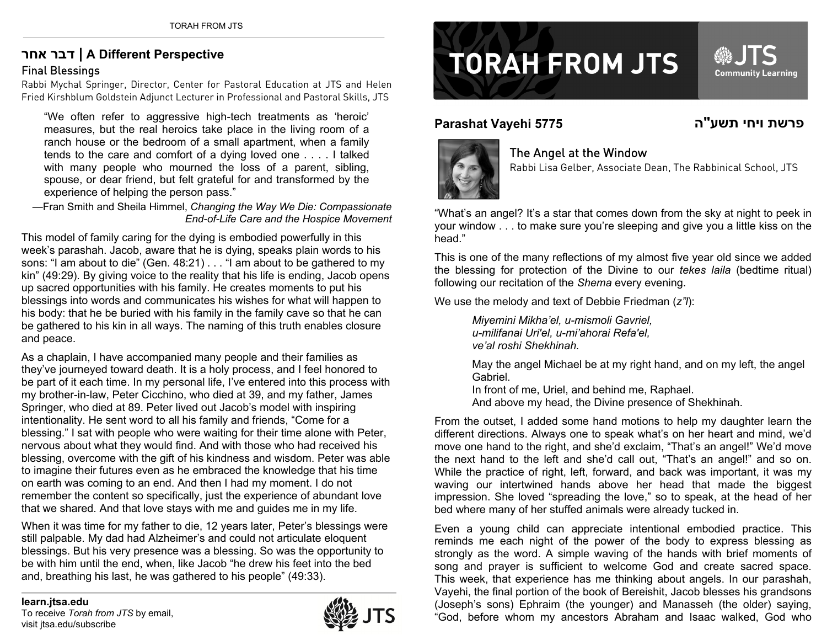## **אחר דבר | A Different Perspective** Final Blessings

Rabbi Mychal Springer, Director, Center for Pastoral Education at JTS and Helen Fried Kirshblum Goldstein Adjunct Lecturer in Professional and Pastoral Skills, JTS

"We often refer to aggressive high-tech treatments as 'heroic' measures, but the real heroics take place in the living room of a ranch house or the bedroom of a small apartment, when a family tends to the care and comfort of a dying loved one . . . . I talked with many people who mourned the loss of a parent, sibling, spouse, or dear friend, but felt grateful for and transformed by the experience of helping the person pass."

—Fran Smith and Sheila Himmel, *Changing the Way We Die: Compassionate End-of-Life Care and the Hospice Movement* 

This model of family caring for the dying is embodied powerfully in this week's parashah. Jacob, aware that he is dying, speaks plain words to his sons: "I am about to die" (Gen. 48:21) . . . "I am about to be gathered to my kin" (49:29). By giving voice to the reality that his life is ending, Jacob opens up sacred opportunities with his family. He creates moments to put his blessings into words and communicates his wishes for what will happen to his body: that he be buried with his family in the family cave so that he can be gathered to his kin in all ways. The naming of this truth enables closure and peace.

As a chaplain, I have accompanied many people and their families as they've journeyed toward death. It is a holy process, and I feel honored to be part of it each time. In my personal life, I've entered into this process with my brother-in-law, Peter Cicchino, who died at 39, and my father, James Springer, who died at 89. Peter lived out Jacob's model with inspiring intentionality. He sent word to all his family and friends, "Come for a blessing." I sat with people who were waiting for their time alone with Peter, nervous about what they would find. And with those who had received his blessing, overcome with the gift of his kindness and wisdom. Peter was able to imagine their futures even as he embraced the knowledge that his time on earth was coming to an end. And then I had my moment. I do not remember the content so specifically, just the experience of abundant love that we shared. And that love stays with me and guides me in my life.

When it was time for my father to die, 12 years later, Peter's blessings were still palpable. My dad had Alzheimer's and could not articulate eloquent blessings. But his very presence was a blessing. So was the opportunity to be with him until the end, when, like Jacob "he drew his feet into the bed and, breathing his last, he was gathered to his people" (49:33).



## **TORAH FROM JTS**

## **Parashat Vayehi 5775 ה פרשת ויחי תשע"**



## The Angel at the Window

Rabbi Lisa Gelber, Associate Dean, The Rabbinical School, JTS

**®JTS** 

**Community Learning** 

"What's an angel? It's a star that comes down from the sky at night to peek in your window . . . to make sure you're sleeping and give you a little kiss on the head."

This is one of the many reflections of my almost five year old since we added the blessing for protection of the Divine to our *tekes laila* (bedtime ritual) following our recitation of the *Shema* every evening.

We use the melody and text of Debbie Friedman (*z"l*):

*Miyemini Mikha'el, u-mismoli Gavriel, u-milifanai Uri'el, u-mi'ahorai Refa'el, ve'al roshi Shekhinah.* 

May the angel Michael be at my right hand, and on my left, the angel Gabriel.

In front of me, Uriel, and behind me, Raphael.

And above my head, the Divine presence of Shekhinah.

From the outset, I added some hand motions to help my daughter learn the different directions. Always one to speak what's on her heart and mind, we'd move one hand to the right, and she'd exclaim, "That's an angel!" We'd move the next hand to the left and she'd call out, "That's an angel!" and so on. While the practice of right, left, forward, and back was important, it was my waving our intertwined hands above her head that made the biggest impression. She loved "spreading the love," so to speak, at the head of her bed where many of her stuffed animals were already tucked in.

Even a young child can appreciate intentional embodied practice. This reminds me each night of the power of the body to express blessing as strongly as the word. A simple waving of the hands with brief moments of song and prayer is sufficient to welcome God and create sacred space. This week, that experience has me thinking about angels. In our parashah, Vayehi, the final portion of the book of Bereishit, Jacob blesses his grandsons (Joseph's sons) Ephraim (the younger) and Manasseh (the older) saying, "God, before whom my ancestors Abraham and Isaac walked, God who